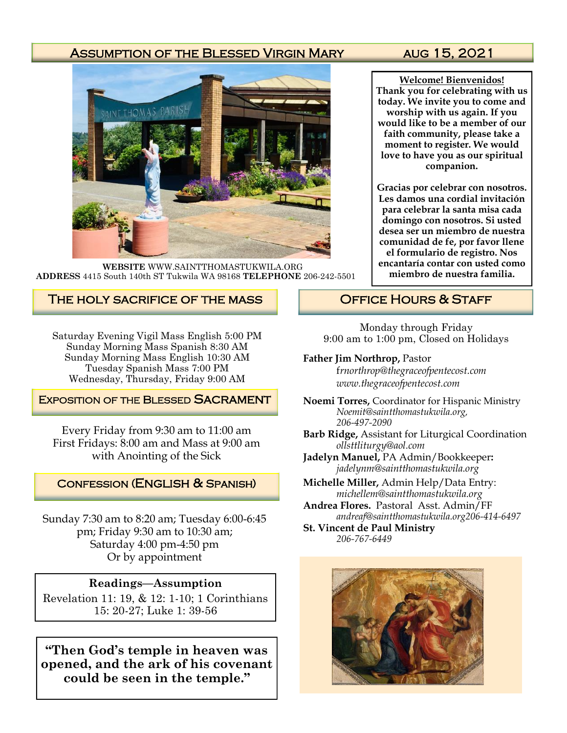### ASSUMPTION OF THE BLESSED VIRGIN MARY AUG 15, 2021



**WEBSITE** WWW.SAINTTHOMASTUKWILA.ORG **ADDRESS** 4415 South 140th ST Tukwila WA 98168 **TELEPHONE** 206-242-5501

#### The holy sacrifice of the mass

Saturday Evening Vigil Mass English 5:00 PM Sunday Morning Mass Spanish 8:30 AM Sunday Morning Mass English 10:30 AM Tuesday Spanish Mass 7:00 PM Wednesday, Thursday, Friday 9:00 AM

#### **EXPOSITION OF THE BLESSED SACRAMENT**

Every Friday from 9:30 am to 11:00 am First Fridays: 8:00 am and Mass at 9:00 am with Anointing of the Sick

#### Confession (English & Spanish)

Sunday 7:30 am to 8:20 am; Tuesday 6:00-6:45 pm; Friday 9:30 am to 10:30 am; Saturday 4:00 pm-4:50 pm Or by appointment

#### **Readings—Assumption**

Revelation 11: 19, & 12: 1-10; 1 Corinthians 15: 20-27; Luke 1: 39-56

**"Then God's temple in heaven was opened, and the ark of his covenant could be seen in the temple."**

**Welcome! Bienvenidos! Thank you for celebrating with us today. We invite you to come and worship with us again. If you would like to be a member of our faith community, please take a moment to register. We would love to have you as our spiritual companion.** 

**Gracias por celebrar con nosotros. Les damos una cordial invitación para celebrar la santa misa cada domingo con nosotros. Si usted desea ser un miembro de nuestra comunidad de fe, por favor llene el formulario de registro. Nos encantaría contar con usted como miembro de nuestra familia.**

## OFFICE HOURS & STAFF

Monday through Friday 9:00 am to 1:00 pm, Closed on Holidays

#### **Father Jim Northrop,** Pastor

f*rnorthrop@thegraceofpentecost.com www.thegraceofpentecost.com* 

- **Noemi Torres,** Coordinator for Hispanic Ministry *Noemit@saintthomastukwila.org, 206-497-2090*
- **Barb Ridge,** Assistant for Liturgical Coordination *ollsttliturgy@aol.com*
- **Jadelyn Manuel,** PA Admin/Bookkeeper**:**  *jadelynm@saintthomastukwila.org*
- **Michelle Miller,** Admin Help/Data Entry: *michellem@saintthomastukwila.org*
- **Andrea Flores.** Pastoral Asst. Admin/FF *andreaf@saintthomastukwila.org206-414-6497*

**St. Vincent de Paul Ministry** *206-767-6449*

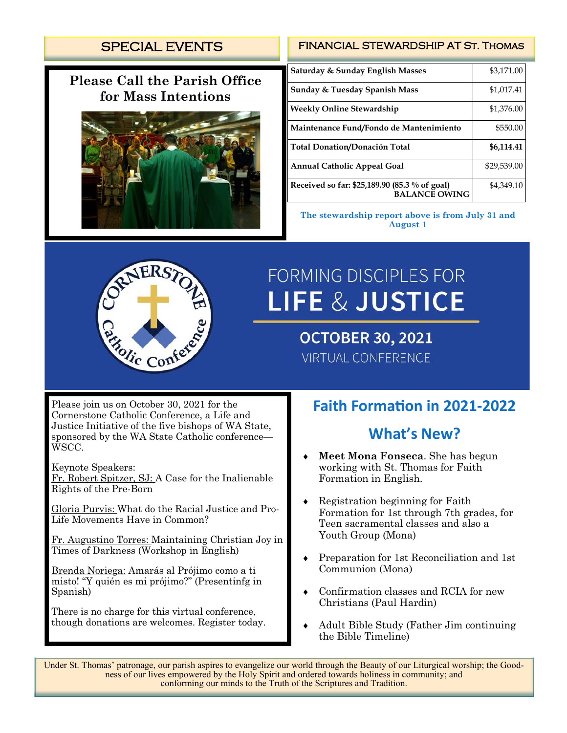# SPECIAL EVENTS

# **Please Call the Parish Office for Mass Intentions**



#### FINANCIAL STEWARDSHIP AT St. Thomas

| Saturday & Sunday English Masses                                      | \$3,171.00  |
|-----------------------------------------------------------------------|-------------|
| <b>Sunday &amp; Tuesday Spanish Mass</b>                              | \$1,017.41  |
| <b>Weekly Online Stewardship</b>                                      | \$1,376.00  |
| Maintenance Fund/Fondo de Mantenimiento                               | \$550.00    |
| <b>Total Donation/Donación Total</b>                                  | \$6,114.41  |
| <b>Annual Catholic Appeal Goal</b>                                    | \$29,539.00 |
| Received so far: \$25,189.90 (85.3 % of goal)<br><b>BALANCE OWING</b> | \$4,349.10  |

**The stewardship report above is from July 31 and August 1**



# **FORMING DISCIPLES FOR LIFE & JUSTICE**

**OCTOBER 30, 2021 VIRTUAL CONFERENCE** 

Please join us on October 30, 2021 for the Cornerstone Catholic Conference, a Life and Justice Initiative of the five bishops of WA State, sponsored by the WA State Catholic conference— WSCC.

Keynote Speakers:

Fr. Robert Spitzer, SJ: A Case for the Inalienable Rights of the Pre-Born

Gloria Purvis: What do the Racial Justice and Pro-Life Movements Have in Common?

Fr. Augustino Torres: Maintaining Christian Joy in Times of Darkness (Workshop in English)

Brenda Noriega: Amarás al Prójimo como a ti misto! "Y quién es mi prójimo?" (Presentinfg in Spanish)

There is no charge for this virtual conference, though donations are welcomes. Register today.

# **Faith Formation in 2021-2022**

# **What's New?**

- **Meet Mona Fonseca**. She has begun working with St. Thomas for Faith Formation in English.
- Registration beginning for Faith Formation for 1st through 7th grades, for Teen sacramental classes and also a Youth Group (Mona)
- Preparation for 1st Reconciliation and 1st Communion (Mona)
- Confirmation classes and RCIA for new Christians (Paul Hardin)
- Adult Bible Study (Father Jim continuing the Bible Timeline)

Under St. Thomas' patronage, our parish aspires to evangelize our world through the Beauty of our Liturgical worship; the Goodness of our lives empowered by the Holy Spirit and ordered towards holiness in community; and conforming our minds to the Truth of the Scriptures and Tradition.